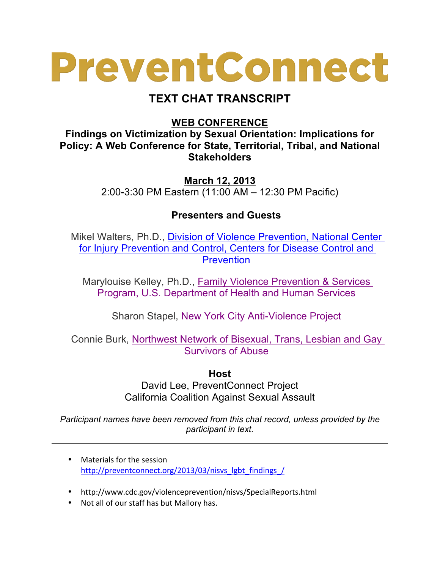## PreventConnect

## **TEXT CHAT TRANSCRIPT**

## **WEB CONFERENCE**

**Findings on Victimization by Sexual Orientation: Implications for Policy: A Web Conference for State, Territorial, Tribal, and National Stakeholders**

> **March 12, 2013** 2:00-3:30 PM Eastern (11:00 AM – 12:30 PM Pacific)

## **Presenters and Guests**

Mikel Walters, Ph.D., Division of Violence Prevention, National Center for Injury Prevention and Control, Centers for Disease Control and Prevention

Marylouise Kelley, Ph.D., Family Violence Prevention & Services Program, U.S. Department of Health and Human Services

Sharon Stapel, New York City Anti-Violence Project

Connie Burk, Northwest Network of Bisexual, Trans, Lesbian and Gay Survivors of Abuse

**Host**

David Lee, PreventConnect Project California Coalition Against Sexual Assault

*Participant names have been removed from this chat record, unless provided by the participant in text.*

- Materials for the session http://preventconnect.org/2013/03/nisvs\_lgbt\_findings\_/
- http://www.cdc.gov/violenceprevention/nisvs/SpecialReports.html
- Not all of our staff has but Mallory has.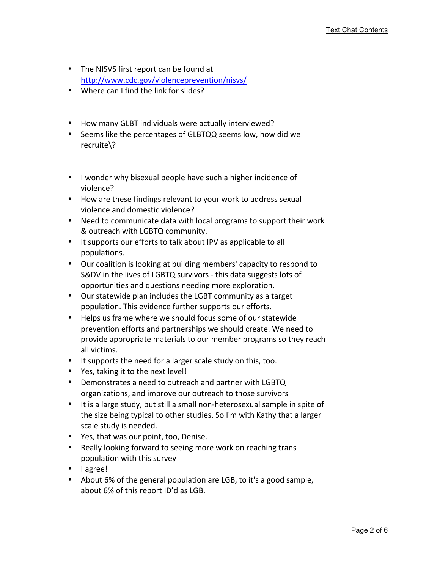- The NISVS first report can be found at http://www.cdc.gov/violenceprevention/nisvs/
- Where can I find the link for slides?
- How many GLBT individuals were actually interviewed?
- Seems like the percentages of GLBTQQ seems low, how did we recruite\?
- I wonder why bisexual people have such a higher incidence of violence?
- How are these findings relevant to your work to address sexual violence and domestic violence?
- Need to communicate data with local programs to support their work & outreach with LGBTQ community.
- It supports our efforts to talk about IPV as applicable to all populations.
- Our coalition is looking at building members' capacity to respond to S&DV in the lives of LGBTQ survivors - this data suggests lots of opportunities and questions needing more exploration.
- Our statewide plan includes the LGBT community as a target population. This evidence further supports our efforts.
- Helps us frame where we should focus some of our statewide prevention efforts and partnerships we should create. We need to provide appropriate materials to our member programs so they reach all victims.
- It supports the need for a larger scale study on this, too.
- Yes, taking it to the next level!
- Demonstrates a need to outreach and partner with LGBTQ organizations, and improve our outreach to those survivors
- It is a large study, but still a small non-heterosexual sample in spite of the size being typical to other studies. So I'm with Kathy that a larger scale study is needed.
- Yes, that was our point, too, Denise.
- Really looking forward to seeing more work on reaching trans population with this survey
- lagree!
- About 6% of the general population are LGB, to it's a good sample, about 6% of this report ID'd as LGB.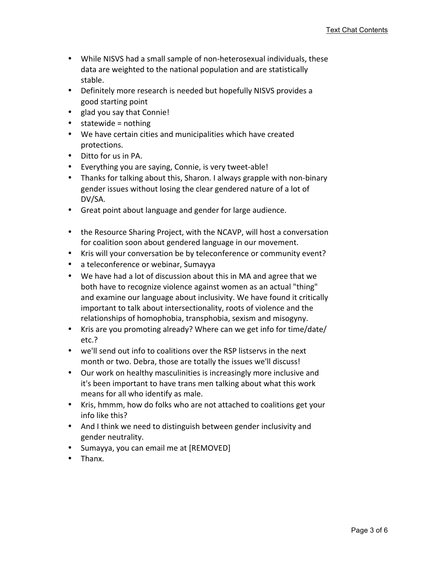- While NISVS had a small sample of non-heterosexual individuals, these data are weighted to the national population and are statistically stable.
- Definitely more research is needed but hopefully NISVS provides a good starting point
- glad you say that Connie!
- statewide = nothing
- We have certain cities and municipalities which have created protections.
- Ditto for us in PA.
- Everything you are saying, Connie, is very tweet-able!
- Thanks for talking about this, Sharon. I always grapple with non-binary gender issues without losing the clear gendered nature of a lot of DV/SA.
- Great point about language and gender for large audience.
- the Resource Sharing Project, with the NCAVP, will host a conversation for coalition soon about gendered language in our movement.
- Kris will your conversation be by teleconference or community event?
- a teleconference or webinar, Sumayya
- We have had a lot of discussion about this in MA and agree that we both have to recognize violence against women as an actual "thing" and examine our language about inclusivity. We have found it critically important to talk about intersectionality, roots of violence and the relationships of homophobia, transphobia, sexism and misogyny.
- Kris are you promoting already? Where can we get info for time/date/ etc.?
- we'll send out info to coalitions over the RSP listservs in the next month or two. Debra, those are totally the issues we'll discuss!
- Our work on healthy masculinities is increasingly more inclusive and it's been important to have trans men talking about what this work means for all who identify as male.
- Kris, hmmm, how do folks who are not attached to coalitions get your info like this?
- And I think we need to distinguish between gender inclusivity and gender neutrality.
- Sumayya, you can email me at [REMOVED]
- Thanx.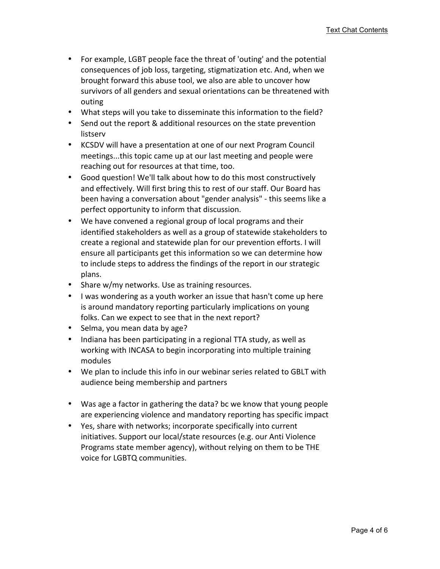- For example, LGBT people face the threat of 'outing' and the potential consequences of job loss, targeting, stigmatization etc. And, when we brought forward this abuse tool, we also are able to uncover how survivors of all genders and sexual orientations can be threatened with outing
- What steps will you take to disseminate this information to the field?
- Send out the report & additional resources on the state prevention listserv
- KCSDV will have a presentation at one of our next Program Council meetings...this topic came up at our last meeting and people were reaching out for resources at that time, too.
- Good question! We'll talk about how to do this most constructively and effectively. Will first bring this to rest of our staff. Our Board has been having a conversation about "gender analysis" - this seems like a perfect opportunity to inform that discussion.
- We have convened a regional group of local programs and their identified stakeholders as well as a group of statewide stakeholders to create a regional and statewide plan for our prevention efforts. I will ensure all participants get this information so we can determine how to include steps to address the findings of the report in our strategic plans.
- Share w/my networks. Use as training resources.
- I was wondering as a youth worker an issue that hasn't come up here is around mandatory reporting particularly implications on young folks. Can we expect to see that in the next report?
- Selma, you mean data by age?
- Indiana has been participating in a regional TTA study, as well as working with INCASA to begin incorporating into multiple training modules
- We plan to include this info in our webinar series related to GBLT with audience being membership and partners
- Was age a factor in gathering the data? bc we know that young people are experiencing violence and mandatory reporting has specific impact
- Yes, share with networks; incorporate specifically into current initiatives. Support our local/state resources (e.g. our Anti Violence Programs state member agency), without relying on them to be THE voice for LGBTQ communities.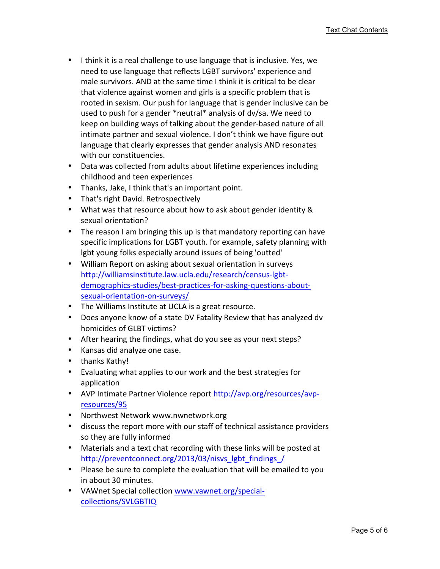- I think it is a real challenge to use language that is inclusive. Yes, we need to use language that reflects LGBT survivors' experience and male survivors. AND at the same time I think it is critical to be clear that violence against women and girls is a specific problem that is rooted in sexism. Our push for language that is gender inclusive can be used to push for a gender \*neutral\* analysis of dv/sa. We need to keep on building ways of talking about the gender-based nature of all intimate partner and sexual violence. I don't think we have figure out language that clearly expresses that gender analysis AND resonates with our constituencies.
- Data was collected from adults about lifetime experiences including childhood and teen experiences
- Thanks, Jake, I think that's an important point.
- That's right David. Retrospectively
- What was that resource about how to ask about gender identity & sexual orientation?
- The reason I am bringing this up is that mandatory reporting can have specific implications for LGBT youth. for example, safety planning with lgbt young folks especially around issues of being 'outted'
- William Report on asking about sexual orientation in surveys http://williamsinstitute.law.ucla.edu/research/census-lgbtdemographics-studies/best-practices-for-asking-questions-aboutsexual-orientation-on-surveys/
- The Williams Institute at UCLA is a great resource.
- Does anyone know of a state DV Fatality Review that has analyzed dv homicides of GLBT victims?
- After hearing the findings, what do you see as your next steps?
- Kansas did analyze one case.
- thanks Kathy!
- Evaluating what applies to our work and the best strategies for application
- AVP Intimate Partner Violence report http://avp.org/resources/avpresources/95
- Northwest Network www.nwnetwork.org
- discuss the report more with our staff of technical assistance providers so they are fully informed
- Materials and a text chat recording with these links will be posted at http://preventconnect.org/2013/03/nisvs\_lgbt\_findings\_/
- Please be sure to complete the evaluation that will be emailed to you in about 30 minutes.
- VAWnet Special collection www.vawnet.org/specialcollections/SVLGBTIQ